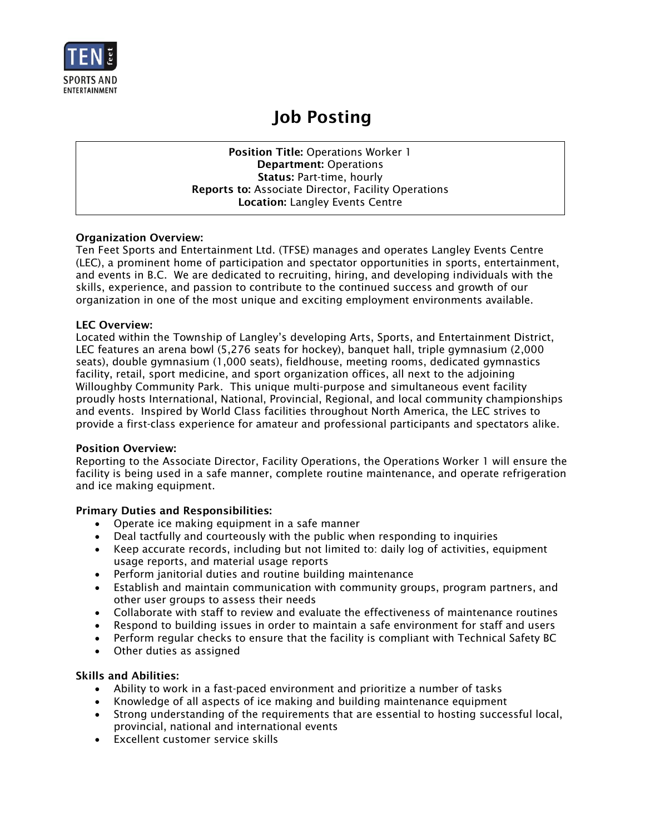

# Job Posting

Position Title: Operations Worker 1 Department: Operations Status: Part-time, hourly Reports to: Associate Director, Facility Operations Location: Langley Events Centre

# Organization Overview:

Ten Feet Sports and Entertainment Ltd. (TFSE) manages and operates Langley Events Centre (LEC), a prominent home of participation and spectator opportunities in sports, entertainment, and events in B.C. We are dedicated to recruiting, hiring, and developing individuals with the skills, experience, and passion to contribute to the continued success and growth of our organization in one of the most unique and exciting employment environments available.

## LEC Overview:

Located within the Township of Langley's developing Arts, Sports, and Entertainment District, LEC features an arena bowl (5,276 seats for hockey), banquet hall, triple gymnasium (2,000 seats), double gymnasium (1,000 seats), fieldhouse, meeting rooms, dedicated gymnastics facility, retail, sport medicine, and sport organization offices, all next to the adjoining Willoughby Community Park. This unique multi-purpose and simultaneous event facility proudly hosts International, National, Provincial, Regional, and local community championships and events. Inspired by World Class facilities throughout North America, the LEC strives to provide a first-class experience for amateur and professional participants and spectators alike.

#### Position Overview:

Reporting to the Associate Director, Facility Operations, the Operations Worker 1 will ensure the facility is being used in a safe manner, complete routine maintenance, and operate refrigeration and ice making equipment.

# Primary Duties and Responsibilities:

- Operate ice making equipment in a safe manner
- Deal tactfully and courteously with the public when responding to inquiries
- Keep accurate records, including but not limited to: daily log of activities, equipment usage reports, and material usage reports
- Perform janitorial duties and routine building maintenance
- Establish and maintain communication with community groups, program partners, and other user groups to assess their needs
- Collaborate with staff to review and evaluate the effectiveness of maintenance routines
- Respond to building issues in order to maintain a safe environment for staff and users
- Perform regular checks to ensure that the facility is compliant with Technical Safety BC
- Other duties as assigned

#### Skills and Abilities:

- Ability to work in a fast-paced environment and prioritize a number of tasks
- Knowledge of all aspects of ice making and building maintenance equipment
- Strong understanding of the requirements that are essential to hosting successful local, provincial, national and international events
- Excellent customer service skills